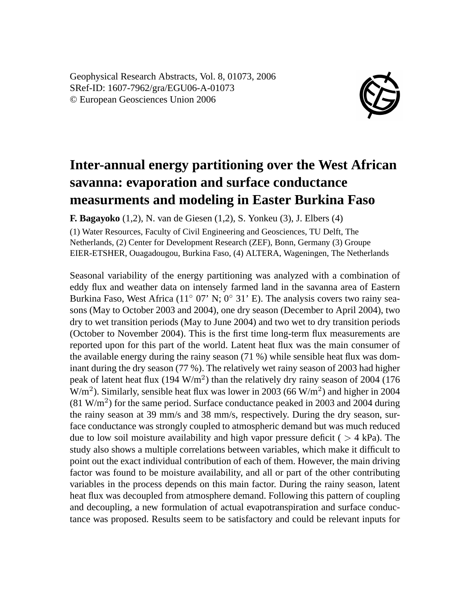Geophysical Research Abstracts, Vol. 8, 01073, 2006 SRef-ID: 1607-7962/gra/EGU06-A-01073 © European Geosciences Union 2006



## **Inter-annual energy partitioning over the West African savanna: evaporation and surface conductance measurments and modeling in Easter Burkina Faso**

**F. Bagayoko** (1,2), N. van de Giesen (1,2), S. Yonkeu (3), J. Elbers (4)

(1) Water Resources, Faculty of Civil Engineering and Geosciences, TU Delft, The Netherlands, (2) Center for Development Research (ZEF), Bonn, Germany (3) Groupe EIER-ETSHER, Ouagadougou, Burkina Faso, (4) ALTERA, Wageningen, The Netherlands

Seasonal variability of the energy partitioning was analyzed with a combination of eddy flux and weather data on intensely farmed land in the savanna area of Eastern Burkina Faso, West Africa (11<sup>°</sup> 07' N; 0<sup>°</sup> 31' E). The analysis covers two rainy seasons (May to October 2003 and 2004), one dry season (December to April 2004), two dry to wet transition periods (May to June 2004) and two wet to dry transition periods (October to November 2004). This is the first time long-term flux measurements are reported upon for this part of the world. Latent heat flux was the main consumer of the available energy during the rainy season (71 %) while sensible heat flux was dominant during the dry season (77 %). The relatively wet rainy season of 2003 had higher peak of latent heat flux (194  $W/m<sup>2</sup>$ ) than the relatively dry rainy season of 2004 (176  $W/m<sup>2</sup>$ ). Similarly, sensible heat flux was lower in 2003 (66 W/m<sup>2</sup>) and higher in 2004  $(81 \text{ W/m}^2)$  for the same period. Surface conductance peaked in 2003 and 2004 during the rainy season at 39 mm/s and 38 mm/s, respectively. During the dry season, surface conductance was strongly coupled to atmospheric demand but was much reduced due to low soil moisture availability and high vapor pressure deficit ( $>$  4 kPa). The study also shows a multiple correlations between variables, which make it difficult to point out the exact individual contribution of each of them. However, the main driving factor was found to be moisture availability, and all or part of the other contributing variables in the process depends on this main factor. During the rainy season, latent heat flux was decoupled from atmosphere demand. Following this pattern of coupling and decoupling, a new formulation of actual evapotranspiration and surface conductance was proposed. Results seem to be satisfactory and could be relevant inputs for